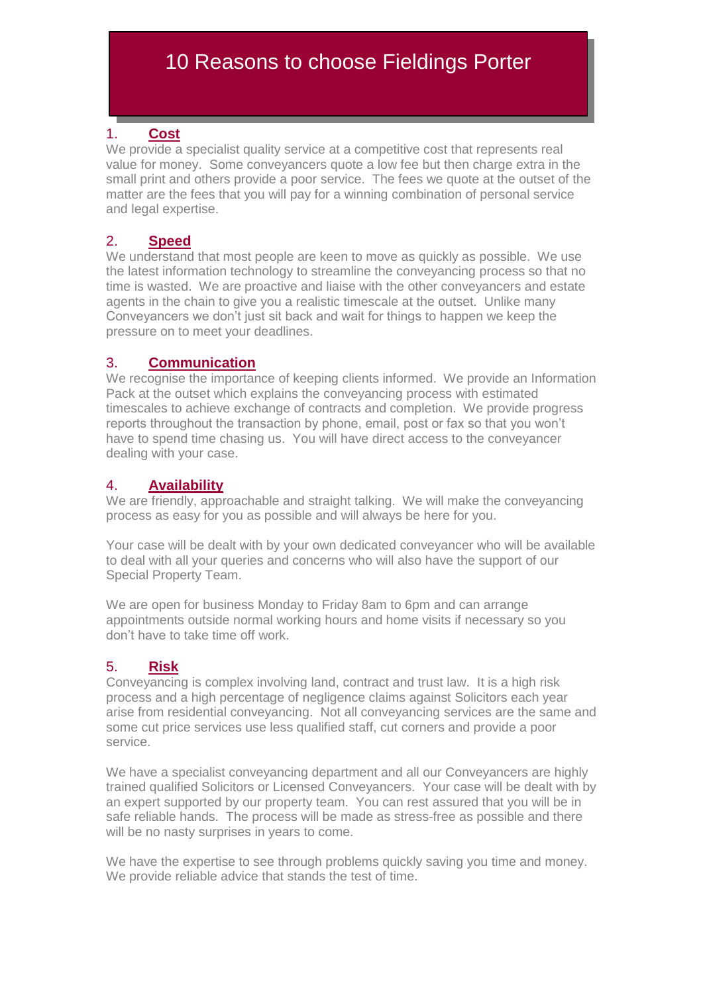# 10 Reasons to choose Fieldings Porter

### 1. **Cost**

We provide a specialist quality service at a competitive cost that represents real value for money. Some conveyancers quote a low fee but then charge extra in the small print and others provide a poor service. The fees we quote at the outset of the matter are the fees that you will pay for a winning combination of personal service and legal expertise.

#### 2. **Speed**

We understand that most people are keen to move as quickly as possible. We use the latest information technology to streamline the conveyancing process so that no time is wasted. We are proactive and liaise with the other conveyancers and estate agents in the chain to give you a realistic timescale at the outset. Unlike many Conveyancers we don't just sit back and wait for things to happen we keep the pressure on to meet your deadlines.

#### 3. **Communication**

We recognise the importance of keeping clients informed. We provide an Information Pack at the outset which explains the conveyancing process with estimated timescales to achieve exchange of contracts and completion. We provide progress reports throughout the transaction by phone, email, post or fax so that you won't have to spend time chasing us. You will have direct access to the conveyancer dealing with your case.

### 4. **Availability**

We are friendly, approachable and straight talking. We will make the conveyancing process as easy for you as possible and will always be here for you.

Your case will be dealt with by your own dedicated conveyancer who will be available to deal with all your queries and concerns who will also have the support of our Special Property Team.

We are open for business Monday to Friday 8am to 6pm and can arrange appointments outside normal working hours and home visits if necessary so you don't have to take time off work.

## 5. **Risk**

Conveyancing is complex involving land, contract and trust law. It is a high risk process and a high percentage of negligence claims against Solicitors each year arise from residential conveyancing. Not all conveyancing services are the same and some cut price services use less qualified staff, cut corners and provide a poor service.

We have a specialist conveyancing department and all our Conveyancers are highly trained qualified Solicitors or Licensed Conveyancers. Your case will be dealt with by an expert supported by our property team. You can rest assured that you will be in safe reliable hands. The process will be made as stress-free as possible and there will be no nasty surprises in years to come.

We have the expertise to see through problems quickly saving you time and money. We provide reliable advice that stands the test of time.